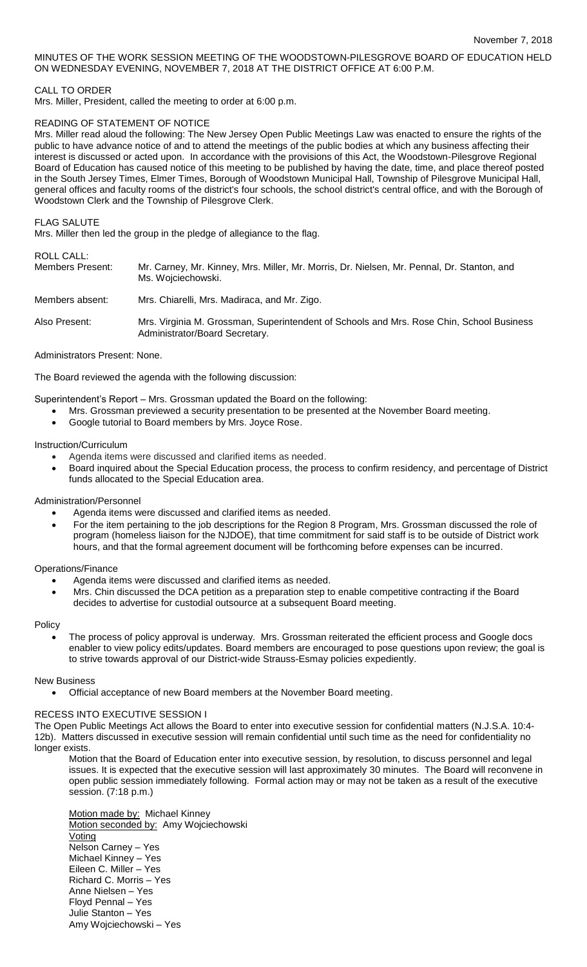# MINUTES OF THE WORK SESSION MEETING OF THE WOODSTOWN-PILESGROVE BOARD OF EDUCATION HELD ON WEDNESDAY EVENING, NOVEMBER 7, 2018 AT THE DISTRICT OFFICE AT 6:00 P.M.

### CALL TO ORDER

Mrs. Miller, President, called the meeting to order at 6:00 p.m.

### READING OF STATEMENT OF NOTICE

Mrs. Miller read aloud the following: The New Jersey Open Public Meetings Law was enacted to ensure the rights of the public to have advance notice of and to attend the meetings of the public bodies at which any business affecting their interest is discussed or acted upon. In accordance with the provisions of this Act, the Woodstown-Pilesgrove Regional Board of Education has caused notice of this meeting to be published by having the date, time, and place thereof posted in the South Jersey Times, Elmer Times, Borough of Woodstown Municipal Hall, Township of Pilesgrove Municipal Hall, general offices and faculty rooms of the district's four schools, the school district's central office, and with the Borough of Woodstown Clerk and the Township of Pilesgrove Clerk.

#### FLAG SALUTE

Mrs. Miller then led the group in the pledge of allegiance to the flag.

## ROLL CALL:

| .<br>Members Present: | Mr. Carney, Mr. Kinney, Mrs. Miller, Mr. Morris, Dr. Nielsen, Mr. Pennal, Dr. Stanton, and<br>Ms. Wojciechowski.           |
|-----------------------|----------------------------------------------------------------------------------------------------------------------------|
| Members absent:       | Mrs. Chiarelli, Mrs. Madiraca, and Mr. Zigo.                                                                               |
| Also Present:         | Mrs. Virginia M. Grossman, Superintendent of Schools and Mrs. Rose Chin, School Business<br>Administrator/Board Secretary. |

#### Administrators Present: None.

The Board reviewed the agenda with the following discussion:

Superintendent's Report – Mrs. Grossman updated the Board on the following:

- Mrs. Grossman previewed a security presentation to be presented at the November Board meeting.
- Google tutorial to Board members by Mrs. Joyce Rose.

#### Instruction/Curriculum

- Agenda items were discussed and clarified items as needed.
- Board inquired about the Special Education process, the process to confirm residency, and percentage of District funds allocated to the Special Education area.

## Administration/Personnel

- Agenda items were discussed and clarified items as needed.
- For the item pertaining to the job descriptions for the Region 8 Program, Mrs. Grossman discussed the role of program (homeless liaison for the NJDOE), that time commitment for said staff is to be outside of District work hours, and that the formal agreement document will be forthcoming before expenses can be incurred.

#### Operations/Finance

- Agenda items were discussed and clarified items as needed.
- Mrs. Chin discussed the DCA petition as a preparation step to enable competitive contracting if the Board decides to advertise for custodial outsource at a subsequent Board meeting.

#### Policy

 The process of policy approval is underway. Mrs. Grossman reiterated the efficient process and Google docs enabler to view policy edits/updates. Board members are encouraged to pose questions upon review; the goal is to strive towards approval of our District-wide Strauss-Esmay policies expediently.

### New Business

Official acceptance of new Board members at the November Board meeting.

#### RECESS INTO EXECUTIVE SESSION I

The Open Public Meetings Act allows the Board to enter into executive session for confidential matters (N.J.S.A. 10:4- 12b). Matters discussed in executive session will remain confidential until such time as the need for confidentiality no longer exists.

Motion that the Board of Education enter into executive session, by resolution, to discuss personnel and legal issues. It is expected that the executive session will last approximately 30 minutes. The Board will reconvene in open public session immediately following. Formal action may or may not be taken as a result of the executive session. (7:18 p.m.)

Motion made by: Michael Kinney Motion seconded by: Amy Wojciechowski Voting Nelson Carney – Yes Michael Kinney – Yes Eileen C. Miller – Yes Richard C. Morris – Yes Anne Nielsen – Yes Floyd Pennal – Yes Julie Stanton – Yes Amy Wojciechowski – Yes